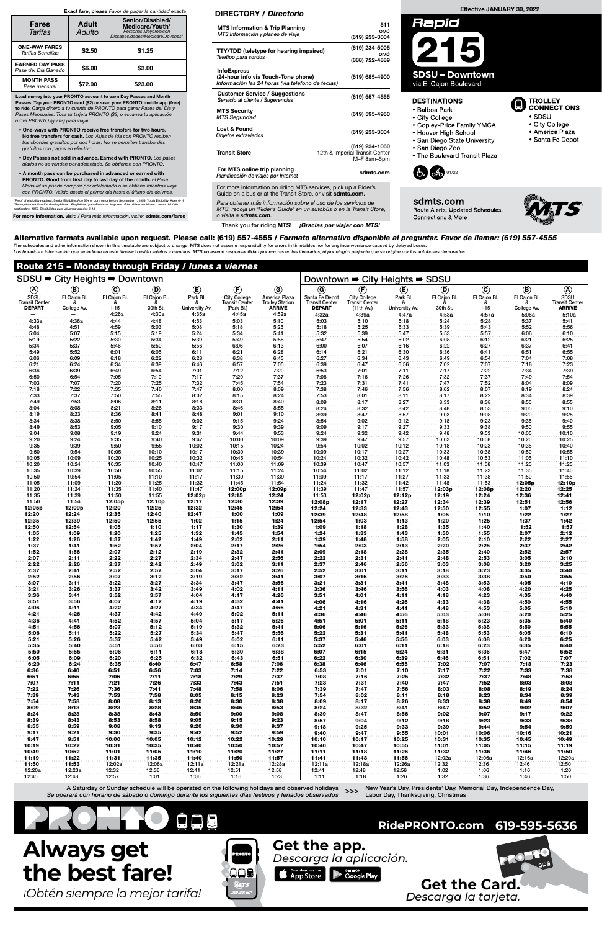6:36 6:40 6:51 6:56 7:03 7:14 7:22 6:51 6:55 7:06 7:11 7:18 7:29 7:37

| Route 215 – Monday through Friday / lunes a viernes<br>SDSU → City Heights → Downtown |                             |                        |                          |                                 |                                                            |                                                          |                                                          |                                                            |                            |                          |                        |                             |                                                |  |
|---------------------------------------------------------------------------------------|-----------------------------|------------------------|--------------------------|---------------------------------|------------------------------------------------------------|----------------------------------------------------------|----------------------------------------------------------|------------------------------------------------------------|----------------------------|--------------------------|------------------------|-----------------------------|------------------------------------------------|--|
|                                                                                       |                             |                        |                          |                                 |                                                            |                                                          | Downtown → City Heights → SDSU                           |                                                            |                            |                          |                        |                             |                                                |  |
| $^{\circledR}$                                                                        | $\circledast$               | $^\copyright$          | $^{\circledR}$           | $^{\circledR}$                  | $^{\circledR}$                                             | $\odot$                                                  | $\circledcirc$                                           | $^\circled{\textsf{F}}$                                    | $^{\circledR}$             | $\circledcirc$           | $\odot$                | $\circledR$                 | $\circledA$                                    |  |
| SDSU<br><b>Transit Center</b><br><b>DEPART</b>                                        | El Cajon Bl.<br>College Av. | El Cajon Bl.<br>$1-15$ | El Cajon Bl.<br>30th St. | Park Bl.<br>ő<br>University Av. | <b>City College</b><br><b>Transit Center</b><br>(Park Bl.) | America Plaza<br><b>Trolley Station</b><br><b>ARRIVE</b> | Santa Fe Depot<br><b>Transit Center</b><br><b>DEPART</b> | <b>City College</b><br><b>Transit Center</b><br>(11th Av.) | Park Bl.<br>University Av. | El Cajon Bl.<br>30th St. | El Cajon Bl.<br>$1-15$ | El Cajon Bl.<br>College Av. | SDSU<br><b>Transit Center</b><br><b>ARRIVE</b> |  |
|                                                                                       |                             | 4:26a                  | 4:30a                    | 4:35a                           | 4:45a                                                      | 4:52a                                                    | 4:32a                                                    | 4:39a                                                      | 4:47a                      | 4:53a                    | 4:57a                  | 5:06a                       | 5:10a                                          |  |
| 4:33a                                                                                 | 4:36a                       | 4:44                   | 4:48                     | 4:53                            | 5:03                                                       | 5:10                                                     | 5:03                                                     | 5:10                                                       | 5:18                       | 5:24                     | 5:28                   | 5:37                        | 5:41                                           |  |
| 4:48                                                                                  | 4:51                        | 4:59                   | 5:03                     | 5:08                            | 5:18                                                       | 5:25                                                     | 5:18                                                     | 5:25                                                       | 5:33                       | 5:39                     | 5:43                   | 5:52                        | 5:56                                           |  |
| 5:04                                                                                  | 5:07                        | 5:15                   | 5:19                     | 5:24                            | 5:34                                                       | 5:41                                                     | 5:32                                                     | 5:39                                                       | 5:47                       | 5:53                     | 5:57                   | 6:06                        | 6:10                                           |  |
| 5:19                                                                                  | 5:22                        | 5:30                   | 5:34                     | 5:39                            | 5:49                                                       | 5:56                                                     | 5:47                                                     | 5:54                                                       | 6:02                       | 6:08                     | 6:12                   | 6:21                        | 6:25                                           |  |
| 5:34<br>5:49                                                                          | 5:37<br>5:52                | 5:46<br>6:01           | 5:50<br>6:05             | 5:56<br>6:11                    | 6:06<br>6:21                                               | 6:13<br>6:28                                             | 6:00<br>6:14                                             | 6:07<br>6:21                                               | 6:16<br>6:30               | 6:22<br>6:36             | 6:27<br>6:41           | 6:37<br>6:51                | 6:41<br>6:55                                   |  |
| 6:06                                                                                  | 6:09                        | 6:18                   | 6:22                     | 6:28                            | 6:38                                                       | 6:45                                                     | 6:27                                                     | 6:34                                                       | 6:43                       | 6:49                     | 6:54                   | 7:04                        | 7:08                                           |  |
| 6:21                                                                                  | 6:24                        | 6:34                   | 6:39                     | 6:46                            | 6:57                                                       | 7:05                                                     | 6:39                                                     | 6:47                                                       | 6:56                       | 7:02                     | 7:07                   | 7:18                        | 7:23                                           |  |
| 6:36                                                                                  | 6:39                        | 6:49                   | 6:54                     | 7:01                            | 7:12                                                       | 7:20                                                     | 6:53                                                     | 7:01                                                       | 7:11                       | 7:17                     | 7:22                   | 7:34                        | 7:39                                           |  |
| 6:50                                                                                  | 6:54                        | 7:05                   | 7:10                     | 7:17                            | 7:29                                                       | 7:37                                                     | 7:08                                                     | 7:16                                                       | 7:26                       | 7:32                     | 7:37                   | 7:49                        | 7:54                                           |  |
| 7:03                                                                                  | 7:07                        | 7:20                   | 7:25                     | 7:32                            | 7:45                                                       | 7:54                                                     | 7:23                                                     | 7:31                                                       | 7:41                       | 7:47                     | 7:52                   | 8:04                        | 8:09                                           |  |
| 7:18                                                                                  | 7:22                        | 7:35                   | 7:40                     | 7:47                            | 8:00                                                       | 8:09                                                     | 7:38                                                     | 7:46                                                       | 7:56                       | 8:02                     | 8:07                   | 8:19                        | 8:24                                           |  |
| 7:33                                                                                  | 7:37                        | 7:50                   | 7:55                     | 8:02                            | 8:15                                                       | 8:24                                                     | 7:53                                                     | 8:01                                                       | 8:11                       | 8:17                     | 8:22                   | 8:34                        | 8:39                                           |  |
| 7:49<br>8:04                                                                          | 7:53<br>8:08                | 8:06<br>8:21           | 8:11<br>8:26             | 8:18<br>8:33                    | 8:31<br>8:46                                               | 8:40<br>8:55                                             | 8:09                                                     | 8:17                                                       | 8:27                       | 8:33                     | 8:38                   | 8:50                        | 8:55                                           |  |
| 8:19                                                                                  | 8:23                        | 8:36                   | 8:41                     | 8:48                            | 9:01                                                       | 9:10                                                     | 8:24<br>8:39                                             | 8:32<br>8:47                                               | 8:42<br>8:57               | 8:48<br>9:03             | 8:53<br>9:08           | 9:05<br>9:20                | 9:10<br>9:25                                   |  |
| 8:34                                                                                  | 8:38                        | 8:50                   | 8:55                     | 9:02                            | 9:15                                                       | 9:24                                                     | 8:54                                                     | 9:02                                                       | 9:12                       | 9:18                     | 9:23                   | 9:35                        | 9:40                                           |  |
| 8:49                                                                                  | 8:53                        | 9:05                   | 9:10                     | 9:17                            | 9:30                                                       | 9:39                                                     | 9:09                                                     | 9:17                                                       | 9:27                       | 9:33                     | 9:38                   | 9:50                        | 9:55                                           |  |
| 9:04                                                                                  | 9:08                        | 9:19                   | 9:24                     | 9:31                            | 9:44                                                       | 9:53                                                     | 9:24                                                     | 9:32                                                       | 9:42                       | 9:48                     | 9:53                   | 10:05                       | 10:10                                          |  |
| 9:20                                                                                  | 9:24                        | 9:35                   | 9:40                     | 9:47                            | 10:00                                                      | 10:09                                                    | 9:39                                                     | 9:47                                                       | 9:57                       | 10:03                    | 10:08                  | 10:20                       | 10:25                                          |  |
| 9:35                                                                                  | 9:39                        | 9:50                   | 9:55                     | 10:02                           | 10:15                                                      | 10:24                                                    | 9:54                                                     | 10:02                                                      | 10:12                      | 10:18                    | 10:23                  | 10:35                       | 10:40                                          |  |
| 9:50                                                                                  | 9:54                        | 10:05                  | 10:10                    | 10:17                           | 10:30                                                      | 10:39                                                    | 10:09                                                    | 10:17                                                      | 10:27                      | 10:33                    | 10:38                  | 10:50                       | 10:55                                          |  |
| 10:05                                                                                 | 10:09                       | 10:20                  | 10:25                    | 10:32                           | 10:45                                                      | 10:54                                                    | 10:24                                                    | 10:32                                                      | 10:42                      | 10:48                    | 10:53                  | 11:05                       | 11:10                                          |  |
| 10:20                                                                                 | 10:24                       | 10:35                  | 10:40                    | 10:47                           | 11:00                                                      | 11:09                                                    | 10:39                                                    | 10:47                                                      | 10:57                      | 11:03                    | 11:08                  | 11:20                       | 11:25                                          |  |
| 10:35<br>10:50                                                                        | 10:39<br>10:54              | 10:50<br>11:05         | 10:55<br>11:10           | 11:02<br>11:17                  | 11:15<br>11:30                                             | 11:24<br>11:39                                           | 10:54<br>11:09                                           | 11:02<br>11:17                                             | 11:12<br>11:27             | 11:18<br>11:33           | 11:23<br>11:38         | 11:35<br>11:50              | 11:40<br>11:55                                 |  |
| 11:05                                                                                 | 11:09                       | 11:20                  | 11:25                    | 11:32                           | 11:45                                                      | 11:54                                                    | 11:24                                                    | 11:32                                                      | 11:42                      | 11:48                    | 11:53                  | 12:05p                      | 12:10p                                         |  |
| 11:20                                                                                 | 11:24                       | 11:35                  | 11:40                    | 11:47                           | 12:00p                                                     | 12:09p                                                   | 11:39                                                    | 11:47                                                      | 11:57                      | 12:03p                   | 12:08p                 | 12:20                       | 12:25                                          |  |
| 11:35                                                                                 | 11:39                       | 11:50                  | 11:55                    | 12:02p                          | 12:15                                                      | 12:24                                                    | 11:53                                                    | 12:02p                                                     | 12:12p                     | 12:19                    | 12:24                  | 12:36                       | 12:41                                          |  |
| 11:50                                                                                 | 11:54                       | 12:05p                 | 12:10p                   | 12:17                           | 12:30                                                      | 12:39                                                    | 12:08p                                                   | 12:17                                                      | 12:27                      | 12:34                    | 12:39                  | 12:51                       | 12:56                                          |  |
| 12:05p                                                                                | 12:09p                      | 12:20                  | 12:25                    | 12:32                           | 12:45                                                      | 12:54                                                    | 12:24                                                    | 12:33                                                      | 12:43                      | 12:50                    | 12:55                  | 1:07                        | 1:12                                           |  |
| 12:20                                                                                 | 12:24                       | 12:35                  | 12:40                    | 12:47                           | 1:00                                                       | 1:09                                                     | 12:39                                                    | 12:48                                                      | 12:58                      | 1:05                     | 1:10                   | 1:22                        | 1:27                                           |  |
| 12:35                                                                                 | 12:39                       | 12:50                  | 12:55                    | 1:02                            | 1:15                                                       | 1:24                                                     | 12:54                                                    | 1:03                                                       | 1:13                       | 1:20                     | 1:25                   | 1:37                        | 1:42                                           |  |
| 12:50                                                                                 | 12:54                       | 1:05                   | 1:10                     | 1:17                            | 1:30                                                       | 1:39                                                     | 1:09                                                     | 1:18                                                       | 1:28                       | 1:35                     | 1:40                   | 1:52                        | 1:57                                           |  |
| 1:05                                                                                  | 1:09                        | 1:20                   | 1:25                     | 1:32<br>1:49                    | 1:45                                                       | 1:54                                                     | 1:24                                                     | 1:33<br>1:48                                               | 1:43                       | 1:50                     | 1:55<br>2:10           | 2:07                        | 2:12                                           |  |
| 1:22<br>1:37                                                                          | 1:26<br>1:41                | 1:37<br>1:52           | 1:42<br>1:57             | 2:04                            | 2:02<br>2:17                                               | 2:11<br>2:26                                             | 1:39<br>1:54                                             | 2:03                                                       | 1:58<br>2:13               | 2:05<br>2:20             | 2:25                   | 2:22<br>2:37                | 2:27<br>2:42                                   |  |
| 1:52                                                                                  | 1:56                        | 2:07                   | 2:12                     | 2:19                            | 2:32                                                       | 2:41                                                     | 2:09                                                     | 2:18                                                       | 2:28                       | 2:35                     | 2:40                   | 2:52                        | 2:57                                           |  |
| 2:07                                                                                  | 2:11                        | 2:22                   | 2:27                     | 2:34                            | 2:47                                                       | 2:56                                                     | 2:22                                                     | 2:31                                                       | 2:41                       | 2:48                     | 2:53                   | 3:05                        | 3:10                                           |  |
| 2:22                                                                                  | 2:26                        | 2:37                   | 2:42                     | 2:49                            | 3:02                                                       | 3:11                                                     | 2:37                                                     | 2:46                                                       | 2:56                       | 3:03                     | 3:08                   | 3:20                        | 3:25                                           |  |
| 2:37                                                                                  | 2:41                        | 2:52                   | 2:57                     | 3:04                            | 3:17                                                       | 3:26                                                     | 2:52                                                     | 3:01                                                       | 3:11                       | 3:18                     | 3:23                   | 3:35                        | 3:40                                           |  |
| 2:52                                                                                  | 2:56                        | 3:07                   | 3:12                     | 3:19                            | 3:32                                                       | 3:41                                                     | 3:07                                                     | 3:16                                                       | 3:26                       | 3:33                     | 3:38                   | 3:50                        | 3:55                                           |  |
| 3:07                                                                                  | 3:11                        | 3:22                   | 3:27                     | 3:34                            | 3:47                                                       | 3:56                                                     | 3:21                                                     | 3:31                                                       | 3:41                       | 3:48                     | 3:53                   | 4:05                        | 4:10                                           |  |
| 3:21                                                                                  | 3:26                        | 3:37                   | 3:42                     | 3:49                            | 4:02                                                       | 4:11                                                     | 3:36                                                     | 3:46                                                       | 3:56                       | 4:03                     | 4:08                   | 4:20                        | 4:25                                           |  |
| 3:36<br>3:51                                                                          | 3:41<br>3:56                | 3:52<br>4:07           | 3:57<br>4:12             | 4:04<br>4:19                    | 4:17<br>4:32                                               | 4:26<br>4:41                                             | 3:51<br>4:06                                             | 4:01<br>4:16                                               | 4:11<br>4:26               | 4:18<br>4:33             | 4:23<br>4:38           | 4:35<br>4:50                | 4:40<br>4:55                                   |  |
| 4:06                                                                                  | 4:11                        | 4:22                   | 4:27                     | 4:34                            | 4:47                                                       | 4:56                                                     | 4:21                                                     | 4:31                                                       | 4:41                       | 4:48                     | 4:53                   | 5:05                        | 5:10                                           |  |
| 4:21                                                                                  | 4:26                        | 4:37                   | 4:42                     | 4:49                            | 5:02                                                       | 5:11                                                     | 4:36                                                     | 4:46                                                       | 4:56                       | 5:03                     | 5:08                   | 5:20                        | 5:25                                           |  |
| 4:36                                                                                  | 4:41                        | 4:52                   | 4:57                     | 5:04                            | 5:17                                                       | 5:26                                                     | 4:51                                                     | 5:01                                                       | 5:11                       | 5:18                     | 5:23                   | 5:35                        | 5:40                                           |  |
| 4:51                                                                                  | 4:56                        | 5:07                   | 5:12                     | 5:19                            | 5:32                                                       | 5:41                                                     | 5:06                                                     | 5:16                                                       | 5:26                       | 5:33                     | 5:38                   | 5:50                        | 5:55                                           |  |
| 5:06                                                                                  | 5:11                        | 5:22                   | 5:27                     | 5:34                            | 5:47                                                       | 5:56                                                     | 5:22                                                     | 5:31                                                       | 5:41                       | 5:48                     | 5:53                   | 6:05                        | 6:10                                           |  |
| 5:21                                                                                  | 5:26                        | 5:37                   | 5:42                     | 5:49                            | 6:02                                                       | 6:11                                                     | 5:37                                                     | 5:46                                                       | 5:56                       | 6:03                     | 6:08                   | 6:20                        | 6:25                                           |  |
| 5:35                                                                                  | 5:40                        | 5:51                   | 5:56                     | 6:03                            | 6:15                                                       | 6:23                                                     | 5:52                                                     | 6:01                                                       | 6:11                       | 6:18                     | 6:23                   | 6:35                        | 6:40                                           |  |
| 5:50                                                                                  | 5:55                        | 6:06                   | 6:11                     | 6:18                            | 6:30                                                       | 6:38                                                     | 6:07                                                     | 6:15                                                       | 6:24                       | 6:31                     | 6:36                   | 6:47                        | 6:52                                           |  |
| 6:05                                                                                  | 6:09                        | 6:20                   | 6:25                     | 6:32                            | 6:43                                                       | 6:51                                                     | 6:22                                                     | 6:30                                                       | 6:39                       | 6:46                     | 6:51                   | 7:02                        | 7:07                                           |  |
| 6:20                                                                                  | 6:24                        | 6:35                   | 6:40                     | 6:47                            | 6:58                                                       | 7:06                                                     | 6:38                                                     | 6:46                                                       | 6:55                       | 7:02                     | 7:07                   | 7:18                        | 7:23                                           |  |

**D** TROLLEY<br>CONNECTIONS

• City College • America Plaza

· Santa Fe Depot

 $\bullet$  SDSU

New Year's Day, Presidents' Day, Memorial Day, Independence Day, >>> New Year's Day, Presidents Day, Merry Labor Day, Thanksgiving, Christmas

| 7:07   | 7:11   | 7:21   | 7:26   | 7:33   | 7:43   | 7:51   | 7:23   | 7:31   | 7:40   | 7:47   | 7:52   | 8:03   | 8:08   |
|--------|--------|--------|--------|--------|--------|--------|--------|--------|--------|--------|--------|--------|--------|
| 7:22   | 7:26   | 7:36   | 7:41   | 7:48   | 7:58   | 8:06   | 7:39   | 7:47   | 7:56   | 8:03   | 8:08   | 8:19   | 8:24   |
| 7:39   | 7:43   | 7:53   | 7:58   | 8:05   | 8:15   | 8:23   | 7:54   | 8:02   | 8:11   | 8:18   | 8:23   | 8:34   | 8:39   |
| 7:54   | 7:58   | 8:08   | 8:13   | 8:20   | 8:30   | 8:38   | 8:09   | 8:17   | 8:26   | 8:33   | 8:38   | 8:49   | 8:54   |
| 8:09   | 8:13   | 8:23   | 8:28   | 8:35   | 8:45   | 8:53   | 8:24   | 8:32   | 8:41   | 8:47   | 8:52   | 9:02   | 9:07   |
| 8:24   | 8:28   | 8:38   | 8:43   | 8:50   | 9:00   | 9:08   | 8:39   | 8:47   | 8:56   | 9:02   | 9:07   | 9:17   | 9:22   |
| 8:39   | 8:43   | 8:53   | 8:58   | 9:05   | 9:15   | 9:23   | 8:57   | 9:04   | 9:12   | 9:18   | 9:23   | 9:33   | 9:38   |
| 8:55   | 8:59   | 9:08   | 9:13   | 9:20   | 9:30   | 9:37   | 9:18   | 9:25   | 9:33   | 9:39   | 9:44   | 9:54   | 9:59   |
| 9:17   | 9:21   | 9:30   | 9:35   | 9:42   | 9:52   | 9:59   | 9:40   | 9:47   | 9:55   | 10:01  | 10:06  | 10:16  | 10:21  |
| 9:47   | 9:51   | 10:00  | 10:05  | 10:12  | 10:22  | 10:29  | 10:10  | 10:17  | 10:25  | 10:31  | 10:35  | 10:45  | 10:49  |
| 10:19  | 10:22  | 10:31  | 10:35  | 10:40  | 10:50  | 10:57  | 10:40  | 10:47  | 10:55  | 11:01  | 11:05  | 11:15  | 11:19  |
| 10:49  | 10:52  | 11:01  | 11:05  | 11:10  | 11:20  | 11:27  | 11:11  | 11:18  | 11:26  | 11:32  | 11:36  | 11:46  | 11:50  |
| 11:19  | 11:22  | 11:31  | 11:35  | 11:40  | 11:50  | 11:57  | 11:41  | 11:48  | 11:56  | 12:02a | 12:06a | 12:16a | 12:20a |
| 11:50  | 11:53  | 12:02a | 12:06a | 12:11a | 12:21a | 12:28a | 12:11a | 12:18a | 12:26a | 12:32  | 12:36  | 12:46  | 12:50  |
| 12:20a | 12:23a | 12:32  | 12:36  | 12:41  | 12:51  | 12:58  | 12:41  | 12:48  | 12:56  | 1:02   | 1:06   | 1:16   | 1:20   |
| 12:45  | 12:48  | 12:57  | 1:01   | 1:06   | 1:16   | 1:23   | 1:11   | 1:18   | 1:26   | 1:32   | 1:36   | 1:46   | 1:50   |

6:53 7:01 7:10 7:17 7:22 7:33 7:38 7:08 7:16 7:25 7:32 7:37 7:48 7:53



A Saturday or Sunday schedule will be operated on the following holidays and observed holidays Se operará con horario de sábado o domingo durante los siguientes días festivos y feriados observados

> **Get the Card.** *Descarga la tarjeta.*

**Get the app.**

**CONDUCTER SET APP SET TON SET TON** 

*Descarga la aplicación.*

**RidePRONTO.com 619-595-5636**

# **Always get the best fare!**

*¡Obtén siempre la mejor tarifa!*



## Alternative formats available upon request. Please call: (619) 557-4555 / Formato alternativo disponible al preguntar. Favor de llamar: (619) 557-4555

The schedules and other information shown in this timetable are subject to change. MTS does not assume responsibility for errors in timetables nor for any inconvenience caused by delayed buses.<br>Los horarios e información q

Effective JANUARY 30, 2022



sdmts.com Route Alerts, Updated Schedules, **Connections & More** 



 $\sim 100$ 

. . . . . .

For more information on riding MTS services, pick up a Rider's Guide on a bus or at the Transit Store, or visit sdmts.com.

Para obtener más información sobre el uso de los servicios de MTS, recoja un 'Rider's Guide' en un autobús o en la Transit Store, o visita a sdmts.com.

Thank you for riding MTS! ¡Gracias por viajar con MTS!



#### **DESTINATIONS**

- · Balboa Park
- City College
- Copley-Price Family YMCA
- Hoover High School
- · San Diego State University
- · San Diego Zoo
- The Boulevard Transit Plaza

## DIRECTORY / Directorio

| <b>MTS Information &amp; Trip Planning</b><br>MTS Información y planeo de viaje                                | 511<br>or/ó<br>(619) 233-3004                                   |
|----------------------------------------------------------------------------------------------------------------|-----------------------------------------------------------------|
| <b>TTY/TDD</b> (teletype for hearing impaired)<br>Teletipo para sordos                                         | (619) 234-5005<br>or/ó<br>(888) 722-4889                        |
| <b>InfoExpress</b><br>(24-hour info via Touch-Tone phone)<br>Información las 24 horas (via teléfono de teclas) | (619) 685-4900                                                  |
| <b>Customer Service / Suggestions</b><br>Servicio al cliente / Sugerencias                                     | (619) 557-4555                                                  |
| <b>MTS Security</b><br><b>MTS Seguridad</b>                                                                    | (619) 595-4960                                                  |
| Lost & Found<br>Objetos extraviados                                                                            | (619) 233-3004                                                  |
| <b>Transit Store</b>                                                                                           | (619) 234-1060<br>12th & Imperial Transit Center<br>M-F 8am-5pm |
| For MTS online trip planning<br>Planificación de viajes por Internet                                           | sdmts.com                                                       |
|                                                                                                                |                                                                 |

Load money into your PRONTO account to earn Day Passes and Month Passes. Tap your PRONTO card (\$2) or scan your PRONTO mobile app (free) to ride. Carga dinero a tu cuenta de PRONTO para ganar Pases del Día y Pases Mensuales. Toca tu tarjeta PRONTO (\$2) o escanea tu aplicación móvil PRONTO (gratis) para viajar.

- One-ways with PRONTO receive free transfers for two hours. No free transfers for cash. Los viajes de ida con PRONTO reciben transbordes gratuitos por dos horas. No se permiten transbordes gratuitos con pagos en efectivo.
- Day Passes not sold in advance. Earned with PRONTO. Los pases diarios no se venden por adelantado. Se obtienen con PRONTO.
- A month pass can be purchased in advanced or earned with PRONTO. Good from first day to last day of the month. El Pase Mensual se puede comprar por adelantado o se obtiene mientras viaja con PRONTO. Válido desde el primer día hasta el último día del mes.

\*Proof of eligibility required. Senior Eligibility: Age 65+ or born on or before September 1, 1959. Youth Eligibility: Ages 6-18<br>\*Se requiere verificación de elegibilidad. Elegibilidad para Personas Mayores: Edad 65+ o nac

For more information, visit: / Para más información, visite: sdmts.com/fares

#### Exact fare, please Favor de pagar la cantidad exacta

| <b>Fares</b><br>Tarifas                       | <b>Adult</b><br>Adulto | Senior/Disabled/<br>Medicare/Youth*<br>Personas Mayores/con<br>Discapacidades/Medicare/Jóvenes* |  |  |  |  |
|-----------------------------------------------|------------------------|-------------------------------------------------------------------------------------------------|--|--|--|--|
| <b>ONE-WAY FARES</b><br>Tarifas Sencillas     | \$2.50                 | \$1.25                                                                                          |  |  |  |  |
| <b>EARNED DAY PASS</b><br>Pase del Día Ganado | \$6.00                 | \$3.00                                                                                          |  |  |  |  |
| <b>MONTH PASS</b><br>Pase mensual             | \$72.00                | \$23.00                                                                                         |  |  |  |  |